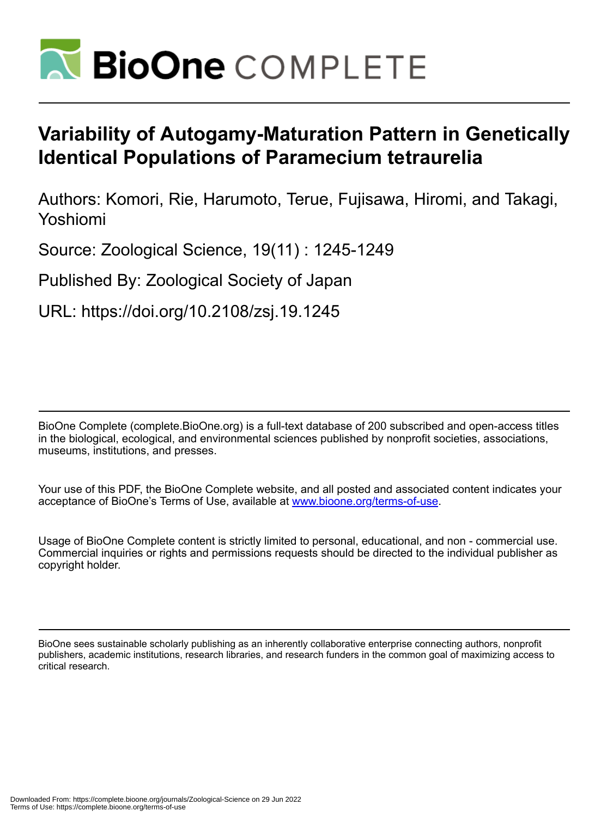

# **Variability of Autogamy-Maturation Pattern in Genetically Identical Populations of Paramecium tetraurelia**

Authors: Komori, Rie, Harumoto, Terue, Fujisawa, Hiromi, and Takagi, Yoshiomi

Source: Zoological Science, 19(11) : 1245-1249

Published By: Zoological Society of Japan

URL: https://doi.org/10.2108/zsj.19.1245

BioOne Complete (complete.BioOne.org) is a full-text database of 200 subscribed and open-access titles in the biological, ecological, and environmental sciences published by nonprofit societies, associations, museums, institutions, and presses.

Your use of this PDF, the BioOne Complete website, and all posted and associated content indicates your acceptance of BioOne's Terms of Use, available at www.bioone.org/terms-of-use.

Usage of BioOne Complete content is strictly limited to personal, educational, and non - commercial use. Commercial inquiries or rights and permissions requests should be directed to the individual publisher as copyright holder.

BioOne sees sustainable scholarly publishing as an inherently collaborative enterprise connecting authors, nonprofit publishers, academic institutions, research libraries, and research funders in the common goal of maximizing access to critical research.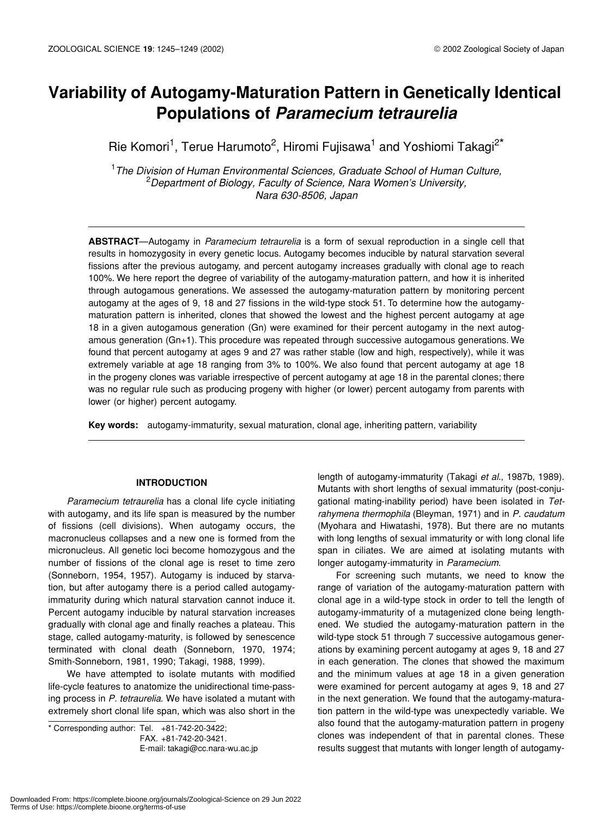## **Variability of Autogamy-Maturation Pattern in Genetically Identical Populations of** *Paramecium tetraurelia*

Rie Komori<sup>1</sup>, Terue Harumoto<sup>2</sup>, Hiromi Fujisawa<sup>1</sup> and Yoshiomi Takagi<sup>2\*</sup>

1 *The Division of Human Environmental Sciences, Graduate School of Human Culture,* 2 *Department of Biology, Faculty of Science, Nara Women's University, Nara 630-8506, Japan*

**ABSTRACT**—Autogamy in *Paramecium tetraurelia* is a form of sexual reproduction in a single cell that results in homozygosity in every genetic locus. Autogamy becomes inducible by natural starvation several fissions after the previous autogamy, and percent autogamy increases gradually with clonal age to reach 100%. We here report the degree of variability of the autogamy-maturation pattern, and how it is inherited through autogamous generations. We assessed the autogamy-maturation pattern by monitoring percent autogamy at the ages of 9, 18 and 27 fissions in the wild-type stock 51. To determine how the autogamymaturation pattern is inherited, clones that showed the lowest and the highest percent autogamy at age 18 in a given autogamous generation (Gn) were examined for their percent autogamy in the next autogamous generation (Gn+1). This procedure was repeated through successive autogamous generations. We found that percent autogamy at ages 9 and 27 was rather stable (low and high, respectively), while it was extremely variable at age 18 ranging from 3% to 100%. We also found that percent autogamy at age 18 in the progeny clones was variable irrespective of percent autogamy at age 18 in the parental clones; there was no regular rule such as producing progeny with higher (or lower) percent autogamy from parents with lower (or higher) percent autogamy.

**Key words:** autogamy-immaturity, sexual maturation, clonal age, inheriting pattern, variability

#### **INTRODUCTION**

*Paramecium tetraurelia* has a clonal life cycle initiating with autogamy, and its life span is measured by the number of fissions (cell divisions). When autogamy occurs, the macronucleus collapses and a new one is formed from the micronucleus. All genetic loci become homozygous and the number of fissions of the clonal age is reset to time zero (Sonneborn, 1954, 1957). Autogamy is induced by starvation, but after autogamy there is a period called autogamyimmaturity during which natural starvation cannot induce it. Percent autogamy inducible by natural starvation increases gradually with clonal age and finally reaches a plateau. This stage, called autogamy-maturity, is followed by senescence terminated with clonal death (Sonneborn, 1970, 1974; Smith-Sonneborn, 1981, 1990; Takagi, 1988, 1999).

We have attempted to isolate mutants with modified life-cycle features to anatomize the unidirectional time-passing process in *P. tetraurelia*. We have isolated a mutant with extremely short clonal life span, which was also short in the

\* Corresponding author: Tel. +81-742-20-3422;

FAX. +81-742-20-3421. E-mail: takagi@cc.nara-wu.ac.jp length of autogamy-immaturity (Takagi *et al*., 1987b, 1989). Mutants with short lengths of sexual immaturity (post-conjugational mating-inability period) have been isolated in *Tetrahymena thermophila* (Bleyman, 1971) and in *P. caudatum* (Myohara and Hiwatashi, 1978)*.* But there are no mutants with long lengths of sexual immaturity or with long clonal life span in ciliates. We are aimed at isolating mutants with longer autogamy-immaturity in *Paramecium*.

For screening such mutants, we need to know the range of variation of the autogamy-maturation pattern with clonal age in a wild-type stock in order to tell the length of autogamy-immaturity of a mutagenized clone being lengthened. We studied the autogamy-maturation pattern in the wild-type stock 51 through 7 successive autogamous generations by examining percent autogamy at ages 9, 18 and 27 in each generation. The clones that showed the maximum and the minimum values at age 18 in a given generation were examined for percent autogamy at ages 9, 18 and 27 in the next generation. We found that the autogamy-maturation pattern in the wild-type was unexpectedly variable. We also found that the autogamy-maturation pattern in progeny clones was independent of that in parental clones. These results suggest that mutants with longer length of autogamy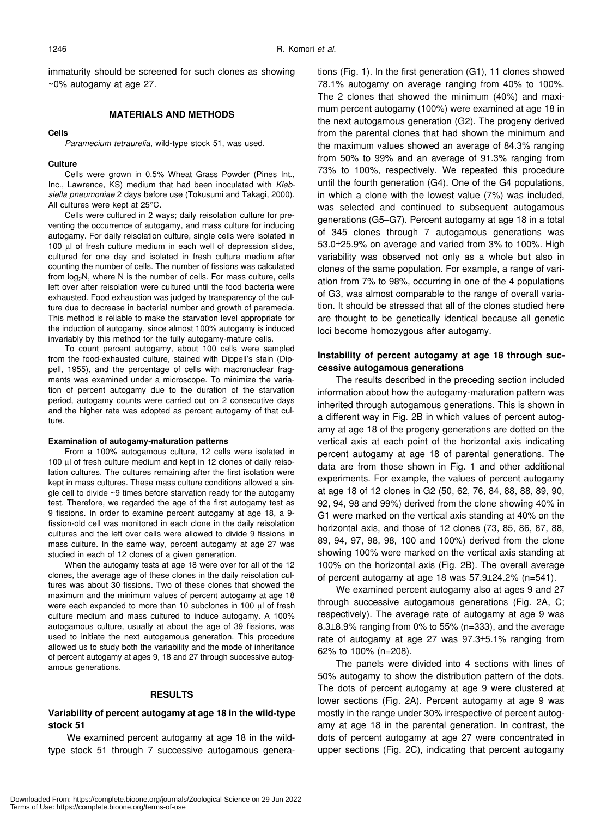immaturity should be screened for such clones as showing ~0% autogamy at age 27.

#### **MATERIALS AND METHODS**

#### **Cells**

*Paramecium tetraurelia*, wild-type stock 51, was used.

#### **Culture**

Cells were grown in 0.5% Wheat Grass Powder (Pines Int., Inc., Lawrence, KS) medium that had been inoculated with *Klebsiella pneumoniae* 2 days before use (Tokusumi and Takagi, 2000). All cultures were kept at 25°C.

Cells were cultured in 2 ways; daily reisolation culture for preventing the occurrence of autogamy, and mass culture for inducing autogamy. For daily reisolation culture, single cells were isolated in 100 µl of fresh culture medium in each well of depression slides, cultured for one day and isolated in fresh culture medium after counting the number of cells. The number of fissions was calculated from log2N, where N is the number of cells. For mass culture, cells left over after reisolation were cultured until the food bacteria were exhausted. Food exhaustion was judged by transparency of the culture due to decrease in bacterial number and growth of paramecia. This method is reliable to make the starvation level appropriate for the induction of autogamy, since almost 100% autogamy is induced invariably by this method for the fully autogamy-mature cells.

To count percent autogamy, about 100 cells were sampled from the food-exhausted culture, stained with Dippell's stain (Dippell, 1955), and the percentage of cells with macronuclear fragments was examined under a microscope. To minimize the variation of percent autogamy due to the duration of the starvation period, autogamy counts were carried out on 2 consecutive days and the higher rate was adopted as percent autogamy of that culture.

#### **Examination of autogamy-maturation patterns**

From a 100% autogamous culture, 12 cells were isolated in 100 µl of fresh culture medium and kept in 12 clones of daily reisolation cultures. The cultures remaining after the first isolation were kept in mass cultures. These mass culture conditions allowed a single cell to divide ~9 times before starvation ready for the autogamy test. Therefore, we regarded the age of the first autogamy test as 9 fissions. In order to examine percent autogamy at age 18, a 9 fission-old cell was monitored in each clone in the daily reisolation cultures and the left over cells were allowed to divide 9 fissions in mass culture. In the same way, percent autogamy at age 27 was studied in each of 12 clones of a given generation.

When the autogamy tests at age 18 were over for all of the 12 clones, the average age of these clones in the daily reisolation cultures was about 30 fissions. Two of these clones that showed the maximum and the minimum values of percent autogamy at age 18 were each expanded to more than 10 subclones in 100 µl of fresh culture medium and mass cultured to induce autogamy. A 100% autogamous culture, usually at about the age of 39 fissions, was used to initiate the next autogamous generation. This procedure allowed us to study both the variability and the mode of inheritance of percent autogamy at ages 9, 18 and 27 through successive autogamous generations.

#### **RESULTS**

#### **Variability of percent autogamy at age 18 in the wild-type stock 51**

We examined percent autogamy at age 18 in the wildtype stock 51 through 7 successive autogamous generations (Fig. 1). In the first generation (G1), 11 clones showed 78.1% autogamy on average ranging from 40% to 100%. The 2 clones that showed the minimum (40%) and maximum percent autogamy (100%) were examined at age 18 in the next autogamous generation (G2). The progeny derived from the parental clones that had shown the minimum and the maximum values showed an average of 84.3% ranging from 50% to 99% and an average of 91.3% ranging from 73% to 100%, respectively. We repeated this procedure until the fourth generation (G4). One of the G4 populations, in which a clone with the lowest value (7%) was included, was selected and continued to subsequent autogamous generations (G5–G7). Percent autogamy at age 18 in a total of 345 clones through 7 autogamous generations was 53.0±25.9% on average and varied from 3% to 100%. High variability was observed not only as a whole but also in clones of the same population. For example, a range of variation from 7% to 98%, occurring in one of the 4 populations of G3, was almost comparable to the range of overall variation. It should be stressed that all of the clones studied here are thought to be genetically identical because all genetic loci become homozygous after autogamy.

#### **Instability of percent autogamy at age 18 through successive autogamous generations**

The results described in the preceding section included information about how the autogamy-maturation pattern was inherited through autogamous generations. This is shown in a different way in Fig. 2B in which values of percent autogamy at age 18 of the progeny generations are dotted on the vertical axis at each point of the horizontal axis indicating percent autogamy at age 18 of parental generations. The data are from those shown in Fig. 1 and other additional experiments. For example, the values of percent autogamy at age 18 of 12 clones in G2 (50, 62, 76, 84, 88, 88, 89, 90, 92, 94, 98 and 99%) derived from the clone showing 40% in G1 were marked on the vertical axis standing at 40% on the horizontal axis, and those of 12 clones (73, 85, 86, 87, 88, 89, 94, 97, 98, 98, 100 and 100%) derived from the clone showing 100% were marked on the vertical axis standing at 100% on the horizontal axis (Fig. 2B). The overall average of percent autogamy at age 18 was 57.9±24.2% (n=541).

We examined percent autogamy also at ages 9 and 27 through successive autogamous generations (Fig. 2A, C; respectively). The average rate of autogamy at age 9 was 8.3±8.9% ranging from 0% to 55% (n=333), and the average rate of autogamy at age 27 was 97.3±5.1% ranging from 62% to 100% (n=208).

The panels were divided into 4 sections with lines of 50% autogamy to show the distribution pattern of the dots. The dots of percent autogamy at age 9 were clustered at lower sections (Fig. 2A). Percent autogamy at age 9 was mostly in the range under 30% irrespective of percent autogamy at age 18 in the parental generation. In contrast, the dots of percent autogamy at age 27 were concentrated in upper sections (Fig. 2C), indicating that percent autogamy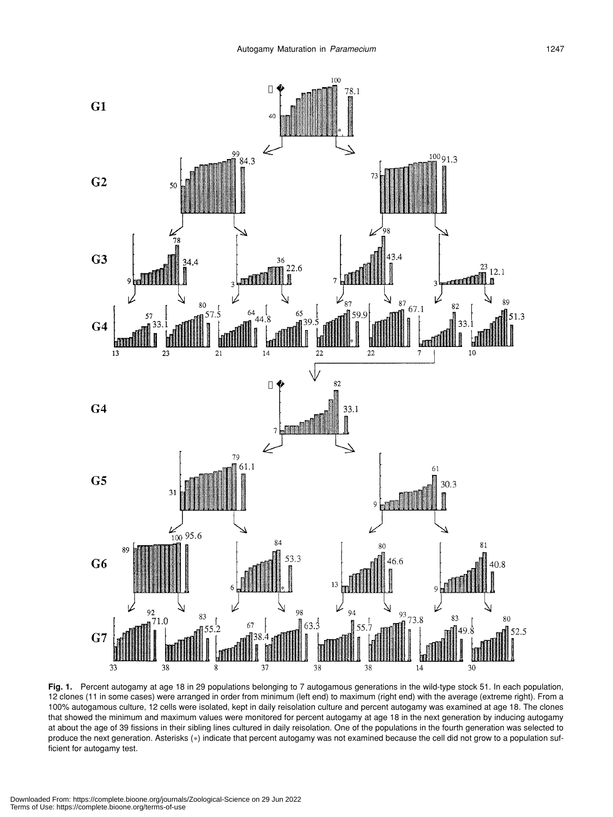

**Fig. 1.** Percent autogamy at age 18 in 29 populations belonging to 7 autogamous generations in the wild-type stock 51. In each population, 12 clones (11 in some cases) were arranged in order from minimum (left end) to maximum (right end) with the average (extreme right). From a 100% autogamous culture, 12 cells were isolated, kept in daily reisolation culture and percent autogamy was examined at age 18. The clones that showed the minimum and maximum values were monitored for percent autogamy at age 18 in the next generation by inducing autogamy at about the age of 39 fissions in their sibling lines cultured in daily reisolation. One of the populations in the fourth generation was selected to produce the next generation. Asterisks (\*) indicate that percent autogamy was not examined because the cell did not grow to a population sufficient for autogamy test.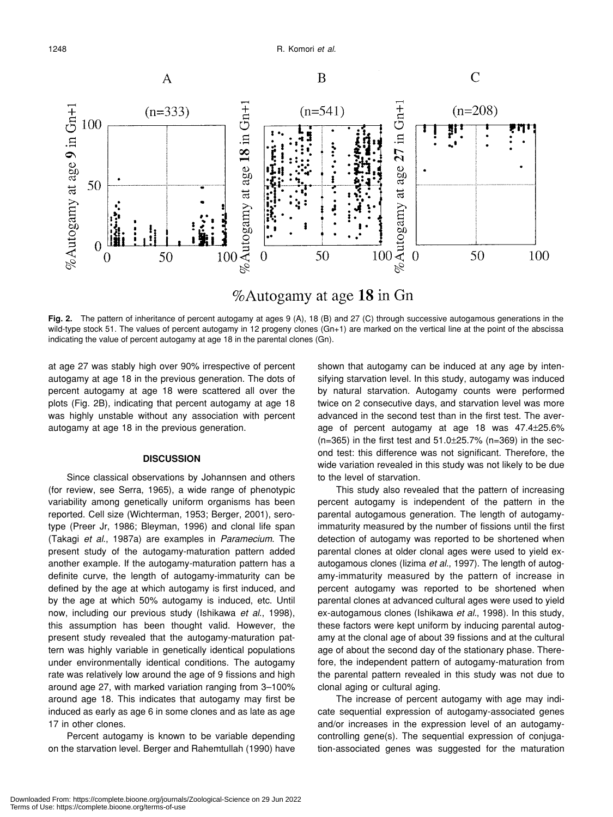

### %Autogamy at age 18 in Gn

**Fig. 2.** The pattern of inheritance of percent autogamy at ages 9 (A), 18 (B) and 27 (C) through successive autogamous generations in the wild-type stock 51. The values of percent autogamy in 12 progeny clones (Gn+1) are marked on the vertical line at the point of the abscissa indicating the value of percent autogamy at age 18 in the parental clones (Gn).

at age 27 was stably high over 90% irrespective of percent autogamy at age 18 in the previous generation. The dots of percent autogamy at age 18 were scattered all over the plots (Fig. 2B), indicating that percent autogamy at age 18 was highly unstable without any association with percent autogamy at age 18 in the previous generation.

#### **DISCUSSION**

Since classical observations by Johannsen and others (for review, see Serra, 1965), a wide range of phenotypic variability among genetically uniform organisms has been reported. Cell size (Wichterman, 1953; Berger, 2001), serotype (Preer Jr, 1986; Bleyman, 1996) and clonal life span (Takagi *et al*., 1987a) are examples in *Paramecium*. The present study of the autogamy-maturation pattern added another example. If the autogamy-maturation pattern has a definite curve, the length of autogamy-immaturity can be defined by the age at which autogamy is first induced, and by the age at which 50% autogamy is induced, etc. Until now, including our previous study (Ishikawa *et al*., 1998), this assumption has been thought valid. However, the present study revealed that the autogamy-maturation pattern was highly variable in genetically identical populations under environmentally identical conditions. The autogamy rate was relatively low around the age of 9 fissions and high around age 27, with marked variation ranging from 3–100% around age 18. This indicates that autogamy may first be induced as early as age 6 in some clones and as late as age 17 in other clones.

Percent autogamy is known to be variable depending on the starvation level. Berger and Rahemtullah (1990) have shown that autogamy can be induced at any age by intensifying starvation level. In this study, autogamy was induced by natural starvation. Autogamy counts were performed twice on 2 consecutive days, and starvation level was more advanced in the second test than in the first test. The average of percent autogamy at age 18 was 47.4±25.6% (n=365) in the first test and 51.0±25.7% (n=369) in the second test: this difference was not significant. Therefore, the wide variation revealed in this study was not likely to be due to the level of starvation.

This study also revealed that the pattern of increasing percent autogamy is independent of the pattern in the parental autogamous generation. The length of autogamyimmaturity measured by the number of fissions until the first detection of autogamy was reported to be shortened when parental clones at older clonal ages were used to yield exautogamous clones (Iizima *et al.*, 1997). The length of autogamy-immaturity measured by the pattern of increase in percent autogamy was reported to be shortened when parental clones at advanced cultural ages were used to yield ex-autogamous clones (Ishikawa *et al.*, 1998). In this study, these factors were kept uniform by inducing parental autogamy at the clonal age of about 39 fissions and at the cultural age of about the second day of the stationary phase. Therefore, the independent pattern of autogamy-maturation from the parental pattern revealed in this study was not due to clonal aging or cultural aging.

The increase of percent autogamy with age may indicate sequential expression of autogamy-associated genes and/or increases in the expression level of an autogamycontrolling gene(s). The sequential expression of conjugation-associated genes was suggested for the maturation